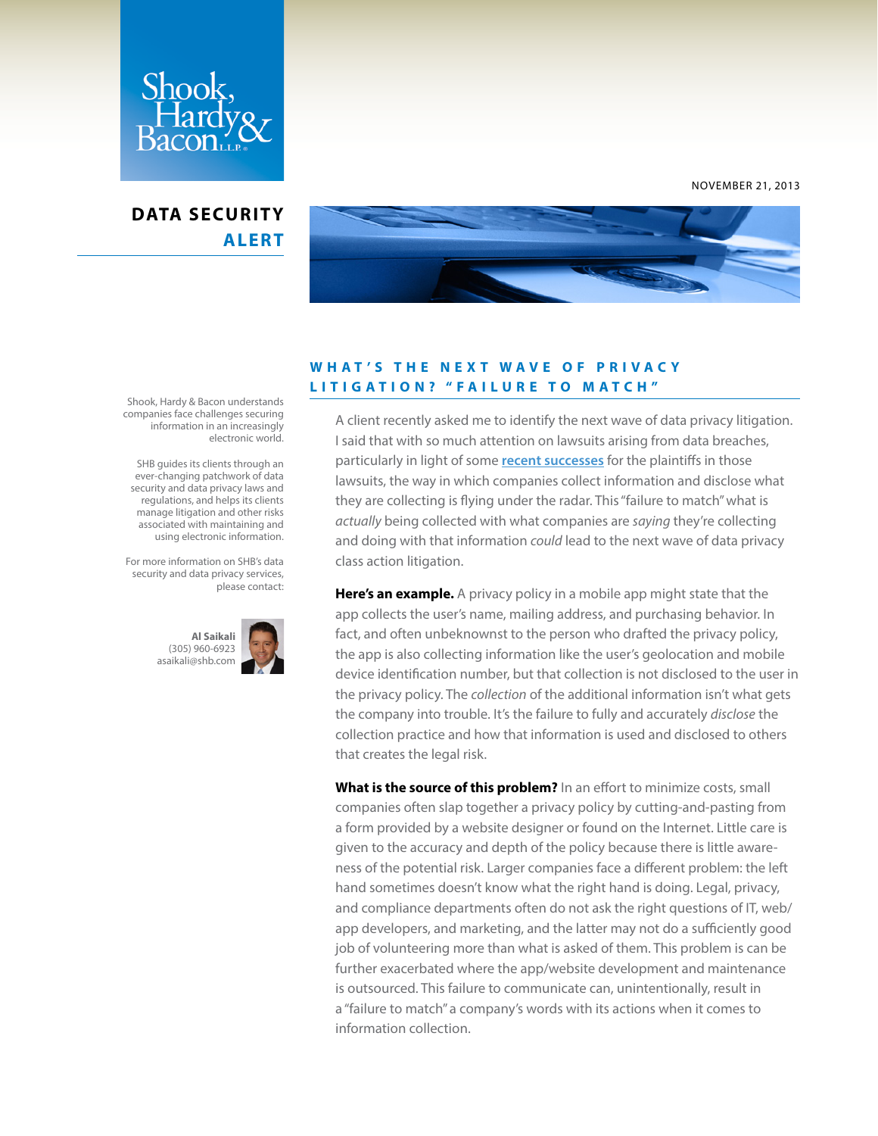

## **DATA SECURITY ALERT**



NOVEMBER 21, 2013

## **W H A T ' S T H E N E X T W A V E O F P R I V A C Y LITIGATION? "FAILURE TO MATCH"**

A client recently asked me to identify the next wave of data privacy litigation. I said that with so much attention on lawsuits arising from data breaches, particularly in light of some **[recent successes](http://www.datasecuritylawjournal.com/2013/10/30/yet-another-potential-multimillion-dollar-data-breach-settlement/)** for the plaintiffs in those lawsuits, the way in which companies collect information and disclose what they are collecting is flying under the radar. This "failure to match" what is *actually* being collected with what companies are *saying* they're collecting and doing with that information *could* lead to the next wave of data privacy class action litigation.

**Here's an example.** A privacy policy in a mobile app might state that the app collects the user's name, mailing address, and purchasing behavior. In fact, and often unbeknownst to the person who drafted the privacy policy, the app is also collecting information like the user's geolocation and mobile device identification number, but that collection is not disclosed to the user in the privacy policy. The *collection* of the additional information isn't what gets the company into trouble. It's the failure to fully and accurately *disclose* the collection practice and how that information is used and disclosed to others that creates the legal risk.

**What is the source of this problem?** In an effort to minimize costs, small companies often slap together a privacy policy by cutting-and-pasting from a form provided by a website designer or found on the Internet. Little care is given to the accuracy and depth of the policy because there is little awareness of the potential risk. Larger companies face a different problem: the left hand sometimes doesn't know what the right hand is doing. Legal, privacy, and compliance departments often do not ask the right questions of IT, web/ app developers, and marketing, and the latter may not do a sufficiently good job of volunteering more than what is asked of them. This problem is can be further exacerbated where the app/website development and maintenance is outsourced. This failure to communicate can, unintentionally, result in a "failure to match" a company's words with its actions when it comes to information collection.

Shook, Hardy & Bacon understands companies face challenges securing information in an increasingly electronic world.

 SHB guides its clients through an ever-changing patchwork of data security and data privacy laws and regulations, and helps its clients manage litigation and other risks associated with maintaining and using electronic information.

For more information on SHB's data security and data privacy services, please contact:

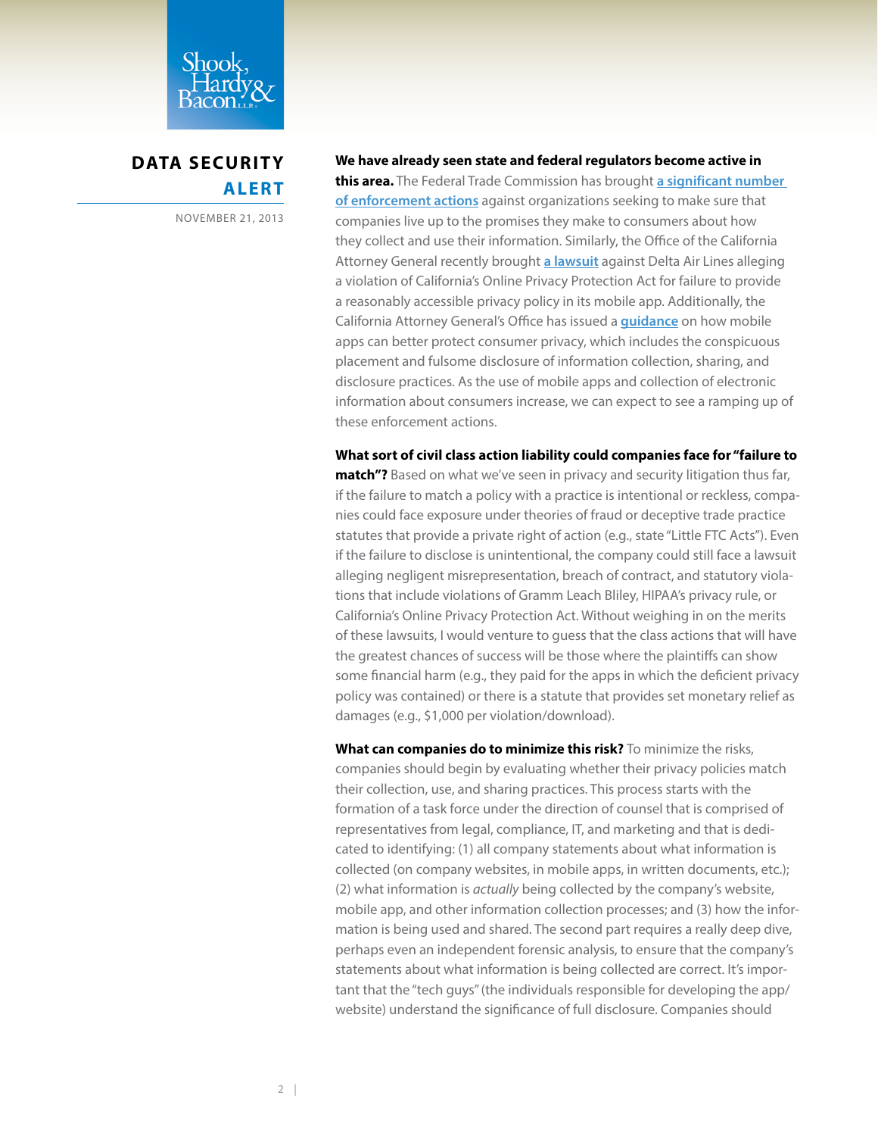

**DATA SECURITY ALERT**

NOVEMBER 21, 2013

## **We have already seen state and federal regulators become active in**

**this area.** The Federal Trade Commission has brought **[a significant number](http://www.ftc.gov/opa/reporter/privacy/privacypromises.shtml)  [of enforcement actions](http://www.ftc.gov/opa/reporter/privacy/privacypromises.shtml)** against organizations seeking to make sure that companies live up to the promises they make to consumers about how they collect and use their information. Similarly, the Office of the California Attorney General recently brought **[a lawsuit](http://oag.ca.gov/system/files/attachments/press_releases/Delta%20Complaint_0.pdf)** against Delta Air Lines alleging a violation of California's Online Privacy Protection Act for failure to provide a reasonably accessible privacy policy in its mobile app. Additionally, the California Attorney General's Office has issued a **[guidance](http://oag.ca.gov/sites/all/files/agweb/pdfs/privacy/privacy_on_the_go.pdf?)** on how mobile apps can better protect consumer privacy, which includes the conspicuous placement and fulsome disclosure of information collection, sharing, and disclosure practices. As the use of mobile apps and collection of electronic information about consumers increase, we can expect to see a ramping up of these enforcement actions.

**What sort of civil class action liability could companies face for "failure to match"?** Based on what we've seen in privacy and security litigation thus far, if the failure to match a policy with a practice is intentional or reckless, companies could face exposure under theories of fraud or deceptive trade practice statutes that provide a private right of action (e.g., state "Little FTC Acts"). Even if the failure to disclose is unintentional, the company could still face a lawsuit alleging negligent misrepresentation, breach of contract, and statutory violations that include violations of Gramm Leach Bliley, HIPAA's privacy rule, or California's Online Privacy Protection Act. Without weighing in on the merits of these lawsuits, I would venture to guess that the class actions that will have the greatest chances of success will be those where the plaintiffs can show some financial harm (e.g., they paid for the apps in which the deficient privacy policy was contained) or there is a statute that provides set monetary relief as damages (e.g., \$1,000 per violation/download).

**What can companies do to minimize this risk?** To minimize the risks, companies should begin by evaluating whether their privacy policies match their collection, use, and sharing practices. This process starts with the formation of a task force under the direction of counsel that is comprised of representatives from legal, compliance, IT, and marketing and that is dedicated to identifying: (1) all company statements about what information is collected (on company websites, in mobile apps, in written documents, etc.); (2) what information is *actually* being collected by the company's website, mobile app, and other information collection processes; and (3) how the information is being used and shared. The second part requires a really deep dive, perhaps even an independent forensic analysis, to ensure that the company's statements about what information is being collected are correct. It's important that the "tech guys" (the individuals responsible for developing the app/ website) understand the significance of full disclosure. Companies should